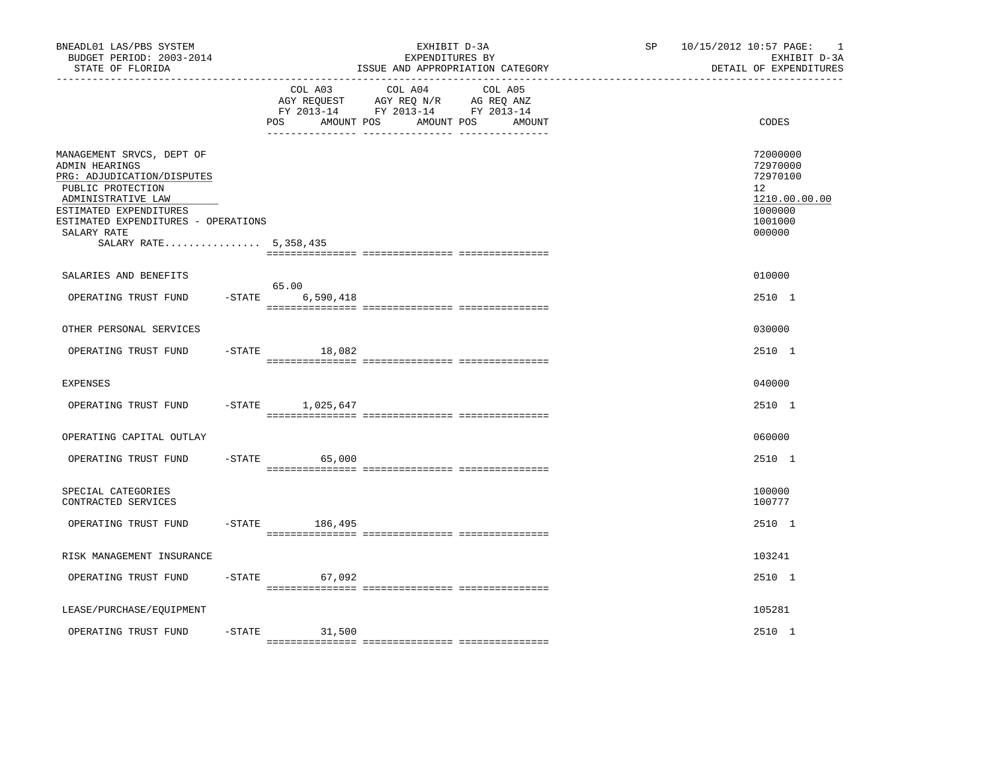| BNEADL01 LAS/PBS SYSTEM<br>BUDGET PERIOD: 2003-2014<br>STATE OF FLORIDA<br>---------------                                                                                                                                    |           |                                     | EXHIBIT D-3A<br>EXPENDITURES BY<br>ISSUE AND APPROPRIATION CATEGORY                             |                   | SP | 10/15/2012 10:57 PAGE:<br>$\overline{\phantom{0}}$<br>EXHIBIT D-3A<br>DETAIL OF EXPENDITURES |
|-------------------------------------------------------------------------------------------------------------------------------------------------------------------------------------------------------------------------------|-----------|-------------------------------------|-------------------------------------------------------------------------------------------------|-------------------|----|----------------------------------------------------------------------------------------------|
|                                                                                                                                                                                                                               |           | COL A03<br>AMOUNT POS<br><b>POS</b> | COL A04<br>AGY REQUEST AGY REQ N/R AG REQ ANZ<br>FY 2013-14 FY 2013-14 FY 2013-14<br>AMOUNT POS | COL A05<br>AMOUNT |    | CODES                                                                                        |
| MANAGEMENT SRVCS, DEPT OF<br>ADMIN HEARINGS<br>PRG: ADJUDICATION/DISPUTES<br>PUBLIC PROTECTION<br>ADMINISTRATIVE LAW<br>ESTIMATED EXPENDITURES<br>ESTIMATED EXPENDITURES - OPERATIONS<br>SALARY RATE<br>SALARY RATE 5,358,435 |           |                                     |                                                                                                 |                   |    | 72000000<br>72970000<br>72970100<br>12<br>1210.00.00.00<br>1000000<br>1001000<br>000000      |
| SALARIES AND BENEFITS                                                                                                                                                                                                         |           |                                     |                                                                                                 |                   |    | 010000                                                                                       |
| OPERATING TRUST FUND                                                                                                                                                                                                          | $-STATE$  | 65.00<br>6,590,418                  |                                                                                                 |                   |    | 2510 1                                                                                       |
| OTHER PERSONAL SERVICES                                                                                                                                                                                                       |           |                                     |                                                                                                 |                   |    | 030000                                                                                       |
| OPERATING TRUST FUND                                                                                                                                                                                                          |           | $-STATE$<br>18,082                  |                                                                                                 |                   |    | 2510 1                                                                                       |
| <b>EXPENSES</b>                                                                                                                                                                                                               |           |                                     |                                                                                                 |                   |    | 040000                                                                                       |
| OPERATING TRUST FUND                                                                                                                                                                                                          |           | -STATE 1,025,647                    |                                                                                                 |                   |    | 2510 1                                                                                       |
| OPERATING CAPITAL OUTLAY                                                                                                                                                                                                      |           |                                     |                                                                                                 |                   |    | 060000                                                                                       |
| OPERATING TRUST FUND                                                                                                                                                                                                          | $-$ STATE | 65,000                              |                                                                                                 |                   |    | 2510 1                                                                                       |
| SPECIAL CATEGORIES<br>CONTRACTED SERVICES                                                                                                                                                                                     |           |                                     |                                                                                                 |                   |    | 100000<br>100777                                                                             |
| OPERATING TRUST FUND                                                                                                                                                                                                          | $-$ STATE | 186,495                             |                                                                                                 |                   |    | 2510 1                                                                                       |
| RISK MANAGEMENT INSURANCE                                                                                                                                                                                                     |           |                                     |                                                                                                 |                   |    | 103241                                                                                       |
| OPERATING TRUST FUND                                                                                                                                                                                                          |           | $-STATE$<br>67,092                  |                                                                                                 |                   |    | 2510 1                                                                                       |
| LEASE/PURCHASE/EQUIPMENT                                                                                                                                                                                                      |           |                                     |                                                                                                 |                   |    | 105281                                                                                       |
| OPERATING TRUST FUND                                                                                                                                                                                                          | $-$ STATE | 31,500                              |                                                                                                 |                   |    | 2510 1                                                                                       |
|                                                                                                                                                                                                                               |           |                                     |                                                                                                 |                   |    |                                                                                              |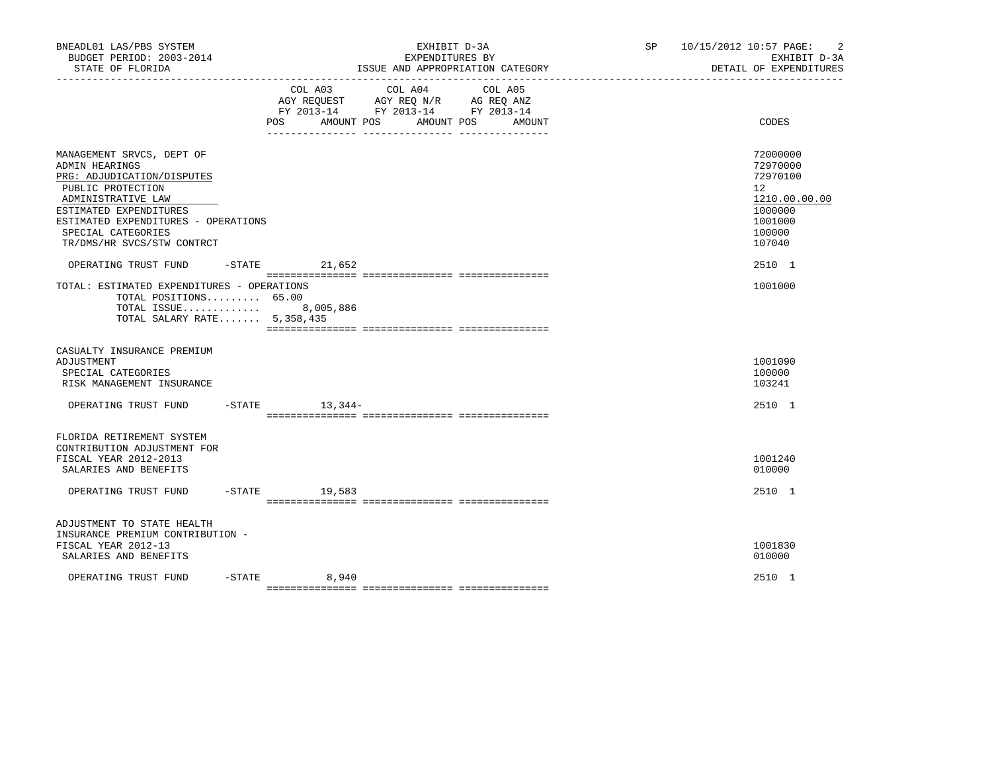| BNEADL01 LAS/PBS SYSTEM<br>BUDGET PERIOD: 2003-2014<br>STATE OF FLORIDA                                                                                                                                                                   |           | EXHIBIT D-3A<br>EXPENDITURES BY<br>ISSUE AND APPROPRIATION CATEGORY                                                                                         | SP 10/15/2012 10:57 PAGE:<br>$\overline{2}$<br>EXHIBIT D-3A<br>DETAIL OF EXPENDITURES             |
|-------------------------------------------------------------------------------------------------------------------------------------------------------------------------------------------------------------------------------------------|-----------|-------------------------------------------------------------------------------------------------------------------------------------------------------------|---------------------------------------------------------------------------------------------------|
|                                                                                                                                                                                                                                           |           | COL A03<br>COL A04<br>COL A05<br>AGY REQUEST AGY REQ N/R AG REQ ANZ<br>FY 2013-14 FY 2013-14 FY 2013-14<br><b>POS</b><br>AMOUNT POS<br>AMOUNT POS<br>AMOUNT | CODES                                                                                             |
| MANAGEMENT SRVCS, DEPT OF<br>ADMIN HEARINGS<br>PRG: ADJUDICATION/DISPUTES<br>PUBLIC PROTECTION<br>ADMINISTRATIVE LAW<br>ESTIMATED EXPENDITURES<br>ESTIMATED EXPENDITURES - OPERATIONS<br>SPECIAL CATEGORIES<br>TR/DMS/HR SVCS/STW CONTRCT |           |                                                                                                                                                             | 72000000<br>72970000<br>72970100<br>12<br>1210.00.00.00<br>1000000<br>1001000<br>100000<br>107040 |
| OPERATING TRUST FUND<br>TOTAL: ESTIMATED EXPENDITURES - OPERATIONS<br>TOTAL POSITIONS $65.00$<br>TOTAL ISSUE 8,005,886<br>TOTAL SALARY RATE 5,358,435                                                                                     |           | $-STATE$ 21,652                                                                                                                                             | 2510 1<br>1001000                                                                                 |
| CASUALTY INSURANCE PREMIUM<br>ADJUSTMENT<br>SPECIAL CATEGORIES<br>RISK MANAGEMENT INSURANCE                                                                                                                                               |           |                                                                                                                                                             | 1001090<br>100000<br>103241                                                                       |
| OPERATING TRUST FUND                                                                                                                                                                                                                      |           | $-$ STATE $13, 344-$                                                                                                                                        | 2510 1                                                                                            |
| FLORIDA RETIREMENT SYSTEM<br>CONTRIBUTION ADJUSTMENT FOR<br>FISCAL YEAR 2012-2013<br>SALARIES AND BENEFITS<br>OPERATING TRUST FUND                                                                                                        |           | $-$ STATE $19,583$                                                                                                                                          | 1001240<br>010000<br>2510 1                                                                       |
| ADJUSTMENT TO STATE HEALTH<br>INSURANCE PREMIUM CONTRIBUTION -<br>FISCAL YEAR 2012-13<br>SALARIES AND BENEFITS                                                                                                                            |           |                                                                                                                                                             | 1001830<br>010000                                                                                 |
| OPERATING TRUST FUND                                                                                                                                                                                                                      | $-$ STATE | 8,940                                                                                                                                                       | 2510 1                                                                                            |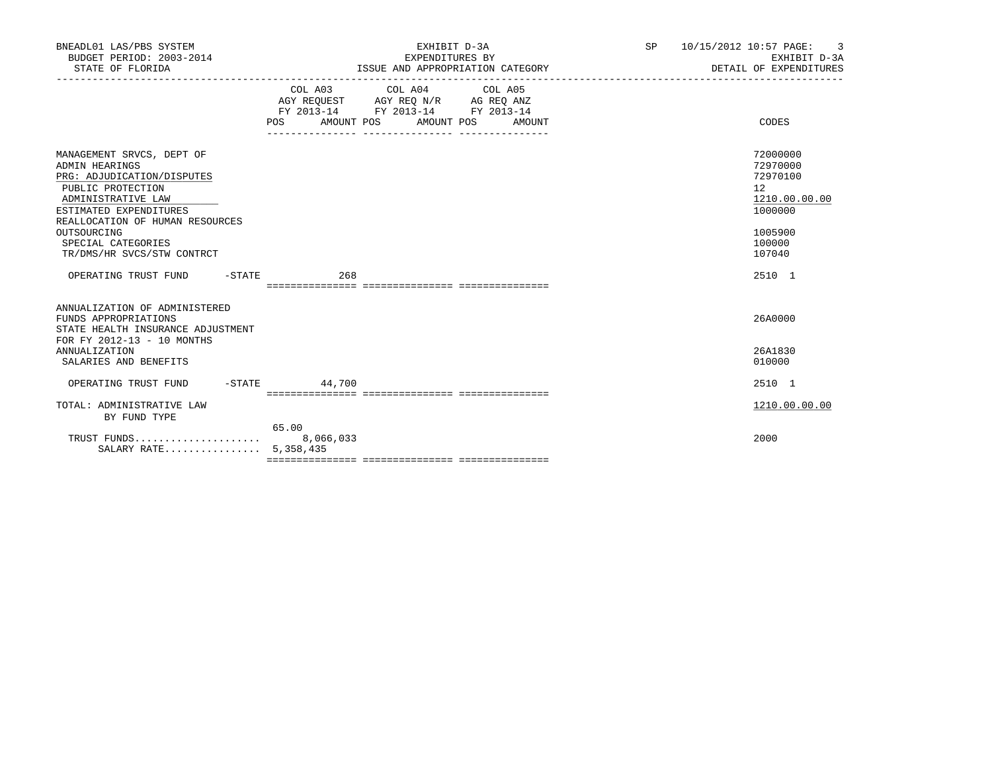| BNEADL01 LAS/PBS SYSTEM<br>BUDGET PERIOD: 2003-2014<br>STATE OF FLORIDA                                                                                                                                                                              |                   | EXHIBIT D-3A<br>EXPENDITURES BY<br>ISSUE AND APPROPRIATION CATEGORY                                                       | SP | 10/15/2012 10:57 PAGE: 3<br>EXHIBIT D-3A<br>DETAIL OF EXPENDITURES                                |
|------------------------------------------------------------------------------------------------------------------------------------------------------------------------------------------------------------------------------------------------------|-------------------|---------------------------------------------------------------------------------------------------------------------------|----|---------------------------------------------------------------------------------------------------|
|                                                                                                                                                                                                                                                      | AMOUNT POS<br>POS | COL A03 COL A04 COL A05<br>AGY REOUEST AGY REO N/R AG REO ANZ<br>FY 2013-14 FY 2013-14 FY 2013-14<br>AMOUNT POS<br>AMOUNT |    | CODES                                                                                             |
| MANAGEMENT SRVCS, DEPT OF<br>ADMIN HEARINGS<br>PRG: ADJUDICATION/DISPUTES<br>PUBLIC PROTECTION<br>ADMINISTRATIVE LAW<br>ESTIMATED EXPENDITURES<br>REALLOCATION OF HUMAN RESOURCES<br>OUTSOURCING<br>SPECIAL CATEGORIES<br>TR/DMS/HR SVCS/STW CONTRCT |                   |                                                                                                                           |    | 72000000<br>72970000<br>72970100<br>12<br>1210.00.00.00<br>1000000<br>1005900<br>100000<br>107040 |
| OPERATING TRUST FUND<br>$-$ STATE                                                                                                                                                                                                                    | 268               |                                                                                                                           |    | 2510 1                                                                                            |
| ANNUALIZATION OF ADMINISTERED<br>FUNDS APPROPRIATIONS<br>STATE HEALTH INSURANCE ADJUSTMENT<br>FOR FY 2012-13 - 10 MONTHS<br><b>ANNUALIZATION</b><br>SALARIES AND BENEFITS                                                                            |                   |                                                                                                                           |    | 26A0000<br>26A1830<br>010000                                                                      |
| $-STATE$<br>OPERATING TRUST FUND                                                                                                                                                                                                                     | 44,700            |                                                                                                                           |    | 2510 1                                                                                            |
| TOTAL: ADMINISTRATIVE LAW<br>BY FUND TYPE                                                                                                                                                                                                            |                   |                                                                                                                           |    | 1210.00.00.00                                                                                     |
| SALARY RATE 5,358,435                                                                                                                                                                                                                                | 65.00             |                                                                                                                           |    | 2000                                                                                              |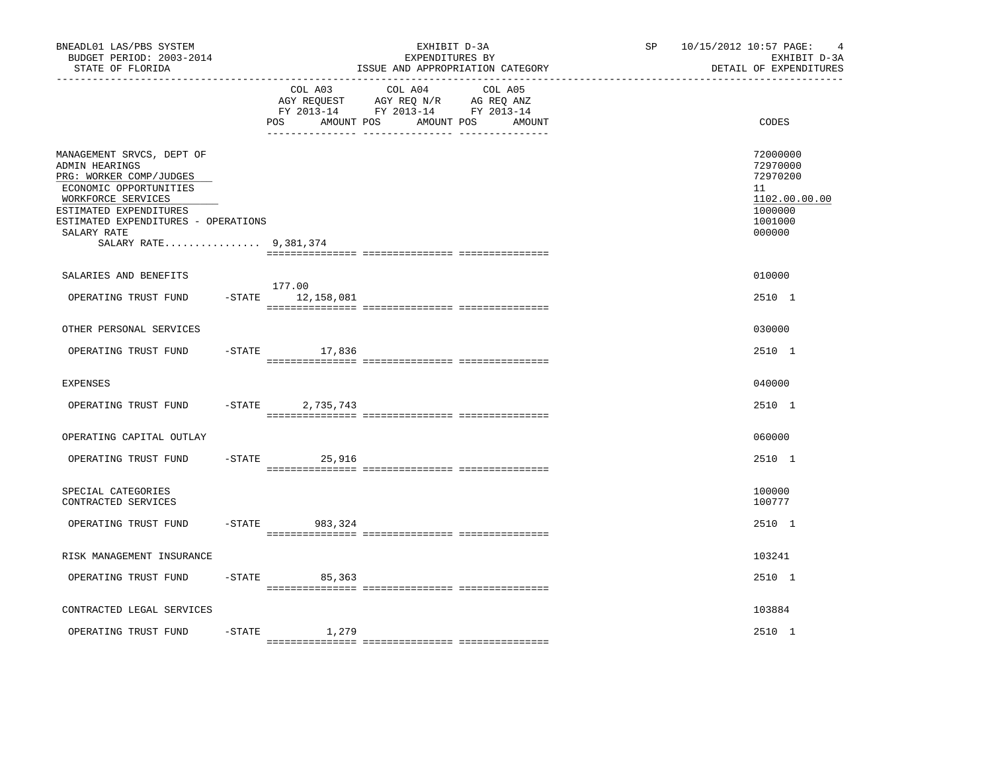| BNEADL01 LAS/PBS SYSTEM<br>BUDGET PERIOD: 2003-2014<br>STATE OF FLORIDA                                                                                                                                                         |           |                                     | EXHIBIT D-3A<br>EXPENDITURES BY<br>ISSUE AND APPROPRIATION CATEGORY                                                  | SP | 10/15/2012 10:57 PAGE: | $\overline{4}$<br>EXHIBIT D-3A<br>DETAIL OF EXPENDITURES                                |
|---------------------------------------------------------------------------------------------------------------------------------------------------------------------------------------------------------------------------------|-----------|-------------------------------------|----------------------------------------------------------------------------------------------------------------------|----|------------------------|-----------------------------------------------------------------------------------------|
|                                                                                                                                                                                                                                 |           | COL A03<br>AMOUNT POS<br><b>POS</b> | COL A04<br>COL A05<br>AGY REQUEST AGY REQ N/R AG REQ ANZ<br>FY 2013-14 FY 2013-14 FY 2013-14<br>AMOUNT POS<br>AMOUNT |    |                        | CODES                                                                                   |
| MANAGEMENT SRVCS, DEPT OF<br>ADMIN HEARINGS<br>PRG: WORKER COMP/JUDGES<br>ECONOMIC OPPORTUNITIES<br>WORKFORCE SERVICES<br>ESTIMATED EXPENDITURES<br>ESTIMATED EXPENDITURES - OPERATIONS<br>SALARY RATE<br>SALARY RATE 9,381,374 |           |                                     |                                                                                                                      |    |                        | 72000000<br>72970000<br>72970200<br>11<br>1102.00.00.00<br>1000000<br>1001000<br>000000 |
| SALARIES AND BENEFITS                                                                                                                                                                                                           |           |                                     |                                                                                                                      |    |                        | 010000                                                                                  |
| OPERATING TRUST FUND                                                                                                                                                                                                            |           | 177.00<br>$-STATE$ 12, 158, 081     |                                                                                                                      |    |                        | 2510 1                                                                                  |
| OTHER PERSONAL SERVICES                                                                                                                                                                                                         |           |                                     |                                                                                                                      |    |                        | 030000                                                                                  |
| OPERATING TRUST FUND                                                                                                                                                                                                            |           | $-STATE$ 17,836                     |                                                                                                                      |    |                        | 2510 1                                                                                  |
| <b>EXPENSES</b>                                                                                                                                                                                                                 |           |                                     |                                                                                                                      |    |                        | 040000                                                                                  |
| OPERATING TRUST FUND                                                                                                                                                                                                            | $-STATE$  | 2,735,743                           |                                                                                                                      |    |                        | 2510 1                                                                                  |
| OPERATING CAPITAL OUTLAY                                                                                                                                                                                                        |           |                                     |                                                                                                                      |    |                        | 060000                                                                                  |
| OPERATING TRUST FUND                                                                                                                                                                                                            | $-$ STATE | 25,916                              |                                                                                                                      |    |                        | 2510 1                                                                                  |
| SPECIAL CATEGORIES<br>CONTRACTED SERVICES                                                                                                                                                                                       |           |                                     |                                                                                                                      |    |                        | 100000<br>100777                                                                        |
| OPERATING TRUST FUND                                                                                                                                                                                                            | $-$ STATE | 983,324                             |                                                                                                                      |    |                        | 2510 1                                                                                  |
| RISK MANAGEMENT INSURANCE                                                                                                                                                                                                       |           |                                     |                                                                                                                      |    |                        | 103241                                                                                  |
| OPERATING TRUST FUND                                                                                                                                                                                                            |           | $-$ STATE 85,363                    |                                                                                                                      |    |                        | 2510 1                                                                                  |
| CONTRACTED LEGAL SERVICES                                                                                                                                                                                                       |           |                                     |                                                                                                                      |    |                        | 103884                                                                                  |
| OPERATING TRUST FUND                                                                                                                                                                                                            | $-$ STATE | 1,279                               |                                                                                                                      |    |                        | 2510 1                                                                                  |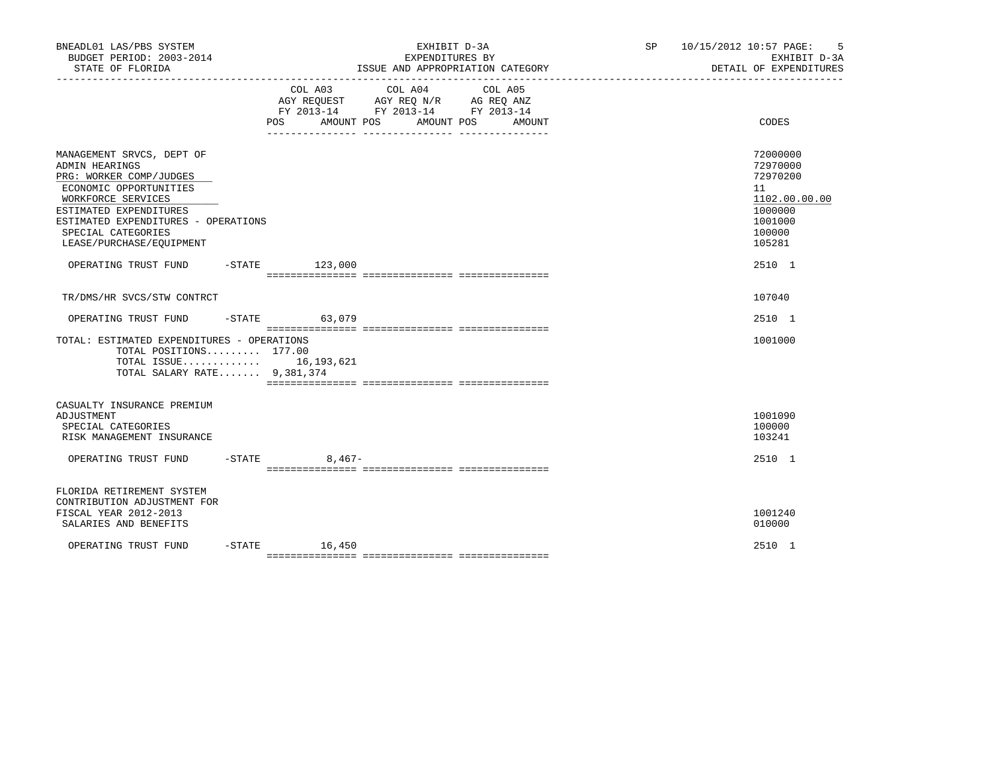| BNEADL01 LAS/PBS SYSTEM<br>BUDGET PERIOD: 2003-2014<br>STATE OF FLORIDA                                                                                                                                                                                           |                   | EXHIBIT D-3A<br>EXPENDITURES BY<br>ISSUE AND APPROPRIATION CATEGORY                                                                      | SP 10/15/2012 10:57 PAGE: | - 5<br>EXHIBIT D-3A<br>DETAIL OF EXPENDITURES                                                               |
|-------------------------------------------------------------------------------------------------------------------------------------------------------------------------------------------------------------------------------------------------------------------|-------------------|------------------------------------------------------------------------------------------------------------------------------------------|---------------------------|-------------------------------------------------------------------------------------------------------------|
|                                                                                                                                                                                                                                                                   |                   | COL A03 COL A04<br>COL A05<br>AGY REQUEST AGY REQ N/R AG REQ ANZ<br>FY 2013-14 FY 2013-14 FY 2013-14<br>POS AMOUNT POS AMOUNT POS AMOUNT |                           | CODES                                                                                                       |
| MANAGEMENT SRVCS, DEPT OF<br>ADMIN HEARINGS<br>PRG: WORKER COMP/JUDGES<br>ECONOMIC OPPORTUNITIES<br>WORKFORCE SERVICES<br>ESTIMATED EXPENDITURES<br>ESTIMATED EXPENDITURES - OPERATIONS<br>SPECIAL CATEGORIES<br>LEASE/PURCHASE/EQUIPMENT<br>OPERATING TRUST FUND | $-$ STATE 123,000 |                                                                                                                                          |                           | 72000000<br>72970000<br>72970200<br>11<br>1102.00.00.00<br>1000000<br>1001000<br>100000<br>105281<br>2510 1 |
| TR/DMS/HR SVCS/STW CONTRCT                                                                                                                                                                                                                                        |                   |                                                                                                                                          |                           | 107040                                                                                                      |
| OPERATING TRUST FUND                                                                                                                                                                                                                                              | $-STATE$ 63,079   |                                                                                                                                          |                           | 2510 1                                                                                                      |
| TOTAL: ESTIMATED EXPENDITURES - OPERATIONS<br>TOTAL POSITIONS $177.00$<br>TOTAL ISSUE $16,193,621$<br>TOTAL SALARY RATE 9,381,374                                                                                                                                 |                   |                                                                                                                                          |                           | 1001000                                                                                                     |
| CASUALTY INSURANCE PREMIUM<br>ADJUSTMENT<br>SPECIAL CATEGORIES<br>RISK MANAGEMENT INSURANCE                                                                                                                                                                       |                   |                                                                                                                                          |                           | 1001090<br>100000<br>103241                                                                                 |
| OPERATING TRUST FUND                                                                                                                                                                                                                                              | $-$ STATE 8,467-  |                                                                                                                                          |                           | 2510 1                                                                                                      |
| FLORIDA RETIREMENT SYSTEM<br>CONTRIBUTION ADJUSTMENT FOR<br>FISCAL YEAR 2012-2013<br>SALARIES AND BENEFITS                                                                                                                                                        |                   |                                                                                                                                          |                           | 1001240<br>010000                                                                                           |
| OPERATING TRUST FUND                                                                                                                                                                                                                                              | $-STATE$ 16,450   |                                                                                                                                          |                           | 2510 1                                                                                                      |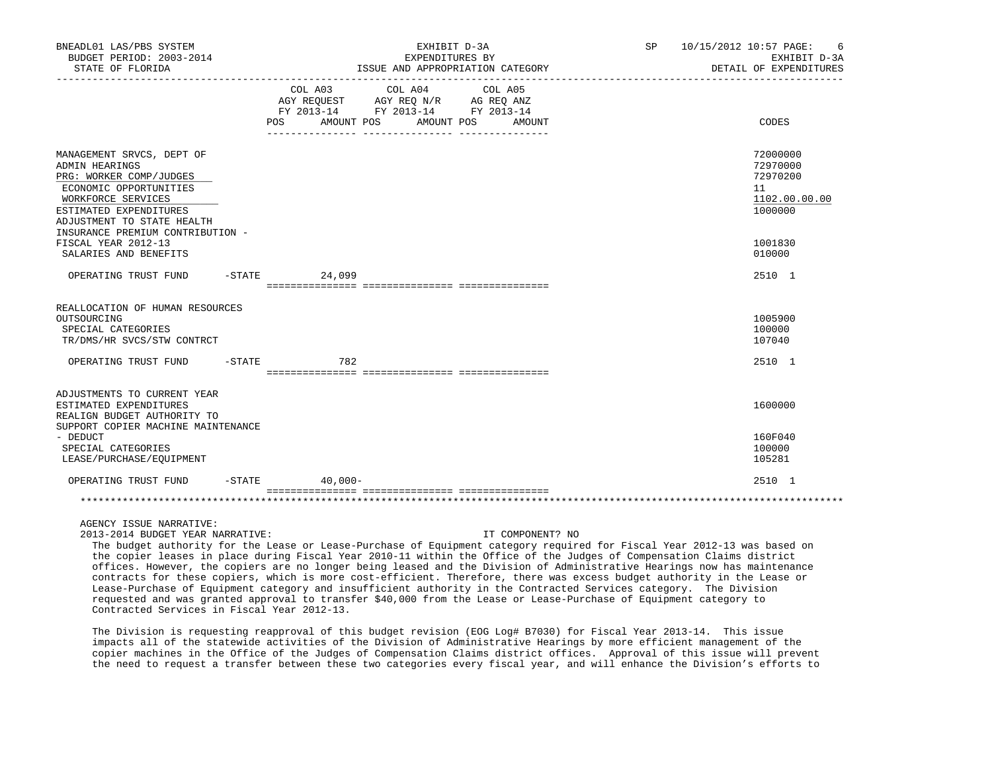| BNEADL01 LAS/PBS SYSTEM<br>BUDGET PERIOD: 2003-2014<br>STATE OF FLORIDA                                                                                                        |           |                              | EXHIBIT D-3A<br>EXPENDITURES BY<br>ISSUE AND APPROPRIATION CATEGORY                                             |         |        | <b>SP</b> | 10/15/2012 10:57 PAGE:<br>6<br>EXHIBIT D-3A<br>DETAIL OF EXPENDITURES |
|--------------------------------------------------------------------------------------------------------------------------------------------------------------------------------|-----------|------------------------------|-----------------------------------------------------------------------------------------------------------------|---------|--------|-----------|-----------------------------------------------------------------------|
|                                                                                                                                                                                |           | COL A03<br>POS<br>AMOUNT POS | COL A04<br>AGY REQUEST AGY REQ N/R AG REQ ANZ<br>FY 2013-14 FY 2013-14 FY 2013-14<br>AMOUNT POS<br>____________ | COL A05 | AMOUNT |           | CODES                                                                 |
| MANAGEMENT SRVCS, DEPT OF<br>ADMIN HEARINGS<br>PRG: WORKER COMP/JUDGES<br>ECONOMIC OPPORTUNITIES<br>WORKFORCE SERVICES<br>ESTIMATED EXPENDITURES<br>ADJUSTMENT TO STATE HEALTH |           |                              |                                                                                                                 |         |        |           | 72000000<br>72970000<br>72970200<br>11<br>1102.00.00.00<br>1000000    |
| INSURANCE PREMIUM CONTRIBUTION -<br>FISCAL YEAR 2012-13<br>SALARIES AND BENEFITS                                                                                               |           |                              |                                                                                                                 |         |        |           | 1001830<br>010000                                                     |
| OPERATING TRUST FUND                                                                                                                                                           |           | $-STATE$<br>24,099           |                                                                                                                 |         |        |           | 2510 1                                                                |
| REALLOCATION OF HUMAN RESOURCES<br>OUTSOURCING<br>SPECIAL CATEGORIES<br>TR/DMS/HR SVCS/STW CONTRCT                                                                             |           |                              |                                                                                                                 |         |        |           | 1005900<br>100000<br>107040                                           |
| OPERATING TRUST FUND                                                                                                                                                           | $-$ STATE | 782                          |                                                                                                                 |         |        |           | 2510 1                                                                |
| ADJUSTMENTS TO CURRENT YEAR<br>ESTIMATED EXPENDITURES<br>REALIGN BUDGET AUTHORITY TO                                                                                           |           |                              |                                                                                                                 |         |        |           | 1600000                                                               |
| SUPPORT COPIER MACHINE MAINTENANCE<br>- DEDUCT<br>SPECIAL CATEGORIES<br>LEASE/PURCHASE/EQUIPMENT                                                                               |           |                              |                                                                                                                 |         |        |           | 160F040<br>100000<br>105281                                           |
| OPERATING TRUST FUND                                                                                                                                                           |           | $-STATE$<br>$40.000 -$       |                                                                                                                 |         |        |           | 2510 1                                                                |
|                                                                                                                                                                                |           |                              |                                                                                                                 |         |        |           |                                                                       |

AGENCY ISSUE NARRATIVE:

2013-2014 BUDGET YEAR NARRATIVE: IT COMPONENT? NO

 The budget authority for the Lease or Lease-Purchase of Equipment category required for Fiscal Year 2012-13 was based on the copier leases in place during Fiscal Year 2010-11 within the Office of the Judges of Compensation Claims district offices. However, the copiers are no longer being leased and the Division of Administrative Hearings now has maintenance contracts for these copiers, which is more cost-efficient. Therefore, there was excess budget authority in the Lease or Lease-Purchase of Equipment category and insufficient authority in the Contracted Services category. The Division requested and was granted approval to transfer \$40,000 from the Lease or Lease-Purchase of Equipment category to Contracted Services in Fiscal Year 2012-13.

 The Division is requesting reapproval of this budget revision (EOG Log# B7030) for Fiscal Year 2013-14. This issue impacts all of the statewide activities of the Division of Administrative Hearings by more efficient management of the copier machines in the Office of the Judges of Compensation Claims district offices. Approval of this issue will prevent the need to request a transfer between these two categories every fiscal year, and will enhance the Division's efforts to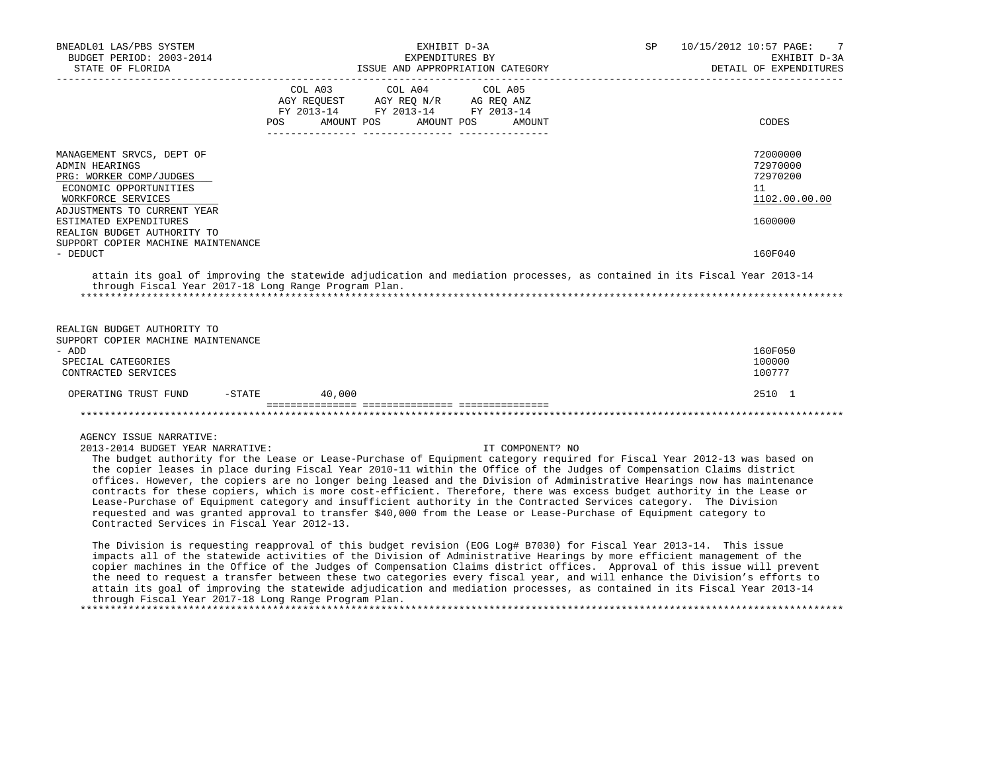| BNEADL01 LAS/PBS SYSTEM<br>BUDGET PERIOD: 2003-2014<br>STATE OF FLORIDA                                                                                                                                                                                                                                                                                                                                                                                                                                                                                                                                                                                                                                                                                                                                                                                                                                                                                                                                                                                                                                                                                                                                                                                                                                                                                                                                                                                                                               |                       |                       | EXHIBIT D-3A<br>EXPENDITURES BY<br>ISSUE AND APPROPRIATION CATEGORY | SP | 10/15/2012 10:57 PAGE:<br>-7<br>EXHIBIT D-3A<br>DETAIL OF EXPENDITURES |
|-------------------------------------------------------------------------------------------------------------------------------------------------------------------------------------------------------------------------------------------------------------------------------------------------------------------------------------------------------------------------------------------------------------------------------------------------------------------------------------------------------------------------------------------------------------------------------------------------------------------------------------------------------------------------------------------------------------------------------------------------------------------------------------------------------------------------------------------------------------------------------------------------------------------------------------------------------------------------------------------------------------------------------------------------------------------------------------------------------------------------------------------------------------------------------------------------------------------------------------------------------------------------------------------------------------------------------------------------------------------------------------------------------------------------------------------------------------------------------------------------------|-----------------------|-----------------------|---------------------------------------------------------------------|----|------------------------------------------------------------------------|
|                                                                                                                                                                                                                                                                                                                                                                                                                                                                                                                                                                                                                                                                                                                                                                                                                                                                                                                                                                                                                                                                                                                                                                                                                                                                                                                                                                                                                                                                                                       | COL A03<br><b>POS</b> | COL A04<br>AMOUNT POS | COL A05<br>AMOUNT POS<br>AMOUNT                                     |    | CODES                                                                  |
| MANAGEMENT SRVCS, DEPT OF<br>ADMIN HEARINGS<br>PRG: WORKER COMP/JUDGES<br>ECONOMIC OPPORTUNITIES<br>WORKFORCE SERVICES<br>ADJUSTMENTS TO CURRENT YEAR                                                                                                                                                                                                                                                                                                                                                                                                                                                                                                                                                                                                                                                                                                                                                                                                                                                                                                                                                                                                                                                                                                                                                                                                                                                                                                                                                 |                       |                       |                                                                     |    | 72000000<br>72970000<br>72970200<br>11<br>1102.00.00.00                |
| ESTIMATED EXPENDITURES<br>REALIGN BUDGET AUTHORITY TO<br>SUPPORT COPIER MACHINE MAINTENANCE<br>- DEDUCT                                                                                                                                                                                                                                                                                                                                                                                                                                                                                                                                                                                                                                                                                                                                                                                                                                                                                                                                                                                                                                                                                                                                                                                                                                                                                                                                                                                               |                       |                       |                                                                     |    | 1600000<br>160F040                                                     |
| attain its goal of improving the statewide adjudication and mediation processes, as contained in its Fiscal Year 2013-14<br>through Fiscal Year 2017-18 Long Range Program Plan.<br>REALIGN BUDGET AUTHORITY TO<br>SUPPORT COPIER MACHINE MAINTENANCE<br>- ADD<br>SPECIAL CATEGORIES<br>CONTRACTED SERVICES                                                                                                                                                                                                                                                                                                                                                                                                                                                                                                                                                                                                                                                                                                                                                                                                                                                                                                                                                                                                                                                                                                                                                                                           |                       |                       |                                                                     |    | 160F050<br>100000<br>100777                                            |
| OPERATING TRUST FUND                                                                                                                                                                                                                                                                                                                                                                                                                                                                                                                                                                                                                                                                                                                                                                                                                                                                                                                                                                                                                                                                                                                                                                                                                                                                                                                                                                                                                                                                                  | $-STATE$<br>40,000    |                       |                                                                     |    | 2510 1                                                                 |
|                                                                                                                                                                                                                                                                                                                                                                                                                                                                                                                                                                                                                                                                                                                                                                                                                                                                                                                                                                                                                                                                                                                                                                                                                                                                                                                                                                                                                                                                                                       |                       |                       |                                                                     |    |                                                                        |
| AGENCY ISSUE NARRATIVE:<br>2013-2014 BUDGET YEAR NARRATIVE:<br>The budget authority for the Lease or Lease-Purchase of Equipment category required for Fiscal Year 2012-13 was based on<br>the copier leases in place during Fiscal Year 2010-11 within the Office of the Judges of Compensation Claims district<br>offices. However, the copiers are no longer being leased and the Division of Administrative Hearings now has maintenance<br>contracts for these copiers, which is more cost-efficient. Therefore, there was excess budget authority in the Lease or<br>Lease-Purchase of Equipment category and insufficient authority in the Contracted Services category. The Division<br>requested and was granted approval to transfer \$40,000 from the Lease or Lease-Purchase of Equipment category to<br>Contracted Services in Fiscal Year 2012-13.<br>The Division is requesting reapproval of this budget revision (EOG Log# B7030) for Fiscal Year 2013-14. This issue<br>impacts all of the statewide activities of the Division of Administrative Hearings by more efficient management of the<br>copier machines in the Office of the Judges of Compensation Claims district offices. Approval of this issue will prevent<br>the need to request a transfer between these two categories every fiscal year, and will enhance the Division's efforts to<br>attain its goal of improving the statewide adjudication and mediation processes, as contained in its Fiscal Year 2013-14 |                       |                       | IT COMPONENT? NO                                                    |    |                                                                        |

through Fiscal Year 2017-18 Long Range Program Plan.

\*\*\*\*\*\*\*\*\*\*\*\*\*\*\*\*\*\*\*\*\*\*\*\*\*\*\*\*\*\*\*\*\*\*\*\*\*\*\*\*\*\*\*\*\*\*\*\*\*\*\*\*\*\*\*\*\*\*\*\*\*\*\*\*\*\*\*\*\*\*\*\*\*\*\*\*\*\*\*\*\*\*\*\*\*\*\*\*\*\*\*\*\*\*\*\*\*\*\*\*\*\*\*\*\*\*\*\*\*\*\*\*\*\*\*\*\*\*\*\*\*\*\*\*\*\*\*